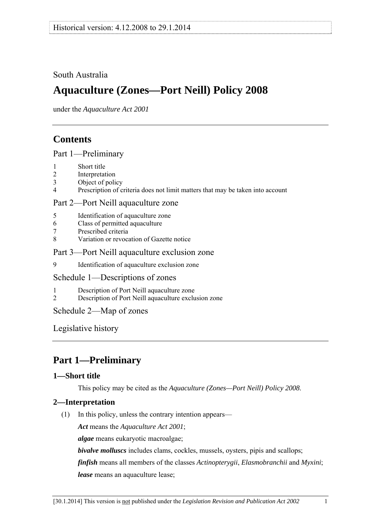## <span id="page-0-0"></span>South Australia

# **Aquaculture (Zones—Port Neill) Policy 2008**

under the *Aquaculture Act 2001*

## **Contents**

## [Part 1—Preliminary](#page-0-0)

- [1 Short title](#page-0-0)
- [2 Interpretation](#page-0-0)
- [3 Object of policy](#page-1-0)
- [4 Prescription of criteria does not limit matters that may be taken into account](#page-1-0)

### [Part 2—Port Neill aquaculture zone](#page-1-0)

- [5 Identification of aquaculture zone](#page-1-0)
- [6 Class of permitted aquaculture](#page-1-0)
- [7 Prescribed criteria](#page-2-0)
- [8 Variation or revocation of Gazette notice](#page-2-0)

#### [Part 3—Port Neill aquaculture exclusion zone](#page-2-0)

[9 Identification of aquaculture exclusion zone](#page-2-0) 

## [Schedule 1—Descriptions of zones](#page-3-0)

- [1 Description of Port Neill aquaculture zone](#page-3-0)
- [2 Description of Port Neill aquaculture exclusion zone](#page-3-0)

## [Schedule 2—Map of zones](#page-5-0)

[Legislative history](#page-6-0) 

# **Part 1—Preliminary**

## **1—Short title**

This policy may be cited as the *[Aquaculture \(Zones—Port Neill\) Policy 2008](http://www.legislation.sa.gov.au/index.aspx?action=legref&type=subordleg&legtitle=Aquaculture%20(Zones%E2%80%94Port%20Neill)%20Policy%202008)*.

## **2—Interpretation**

(1) In this policy, unless the contrary intention appears—

*Act* means the *[Aquaculture Act 2001](http://www.legislation.sa.gov.au/index.aspx?action=legref&type=act&legtitle=Aquaculture%20Act%202001)*;

*algae* means eukaryotic macroalgae;

*bivalve molluscs* includes clams, cockles, mussels, oysters, pipis and scallops;

*finfish* means all members of the classes *Actinopterygii*, *Elasmobranchii* and *Myxini*; *lease* means an aquaculture lease;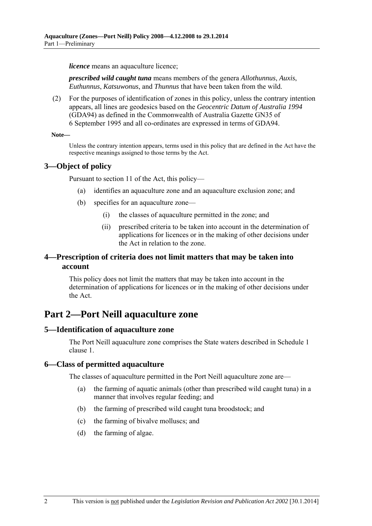<span id="page-1-0"></span>*licence* means an aquaculture licence:

*prescribed wild caught tuna* means members of the genera *Allothunnus*, *Auxis*, *Euthunnus*, *Katsuwonus*, and *Thunnus* that have been taken from the wild.

 (2) For the purposes of identification of zones in this policy, unless the contrary intention appears, all lines are geodesics based on the *Geocentric Datum of Australia 1994* (GDA94) as defined in the Commonwealth of Australia Gazette GN35 of 6 September 1995 and all co-ordinates are expressed in terms of GDA94.

#### **Note—**

Unless the contrary intention appears, terms used in this policy that are defined in the Act have the respective meanings assigned to those terms by the Act.

### **3—Object of policy**

Pursuant to section 11 of the Act, this policy—

- (a) identifies an aquaculture zone and an aquaculture exclusion zone; and
- (b) specifies for an aquaculture zone—
	- (i) the classes of aquaculture permitted in the zone; and
	- (ii) prescribed criteria to be taken into account in the determination of applications for licences or in the making of other decisions under the Act in relation to the zone.

### **4—Prescription of criteria does not limit matters that may be taken into account**

This policy does not limit the matters that may be taken into account in the determination of applications for licences or in the making of other decisions under the Act.

## **Part 2—Port Neill aquaculture zone**

#### **5—Identification of aquaculture zone**

The Port Neill aquaculture zone comprises the State waters described in [Schedule 1](#page-3-0)  [clause 1](#page-3-0).

#### **6—Class of permitted aquaculture**

The classes of aquaculture permitted in the Port Neill aquaculture zone are—

- (a) the farming of aquatic animals (other than prescribed wild caught tuna) in a manner that involves regular feeding; and
- (b) the farming of prescribed wild caught tuna broodstock; and
- (c) the farming of bivalve molluscs; and
- (d) the farming of algae.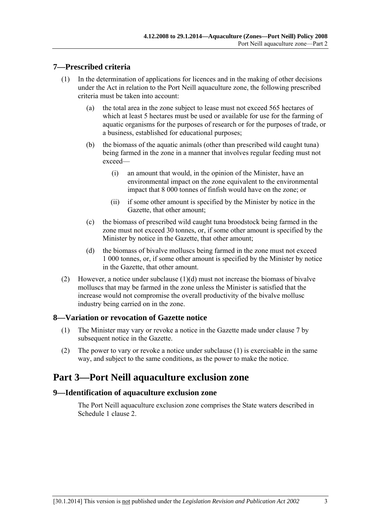#### <span id="page-2-0"></span>**7—Prescribed criteria**

- (1) In the determination of applications for licences and in the making of other decisions under the Act in relation to the Port Neill aquaculture zone, the following prescribed criteria must be taken into account:
	- (a) the total area in the zone subject to lease must not exceed 565 hectares of which at least 5 hectares must be used or available for use for the farming of aquatic organisms for the purposes of research or for the purposes of trade, or a business, established for educational purposes;
	- (b) the biomass of the aquatic animals (other than prescribed wild caught tuna) being farmed in the zone in a manner that involves regular feeding must not exceed—
		- (i) an amount that would, in the opinion of the Minister, have an environmental impact on the zone equivalent to the environmental impact that 8 000 tonnes of finfish would have on the zone; or
		- (ii) if some other amount is specified by the Minister by notice in the Gazette, that other amount;
	- (c) the biomass of prescribed wild caught tuna broodstock being farmed in the zone must not exceed 30 tonnes, or, if some other amount is specified by the Minister by notice in the Gazette, that other amount;
	- (d) the biomass of bivalve molluscs being farmed in the zone must not exceed 1 000 tonnes, or, if some other amount is specified by the Minister by notice in the Gazette, that other amount.
- (2) However, a notice under subclause  $(1)(d)$  must not increase the biomass of bivalve molluscs that may be farmed in the zone unless the Minister is satisfied that the increase would not compromise the overall productivity of the bivalve mollusc industry being carried on in the zone.

#### **8—Variation or revocation of Gazette notice**

- (1) The Minister may vary or revoke a notice in the Gazette made under [clause 7](#page-2-0) by subsequent notice in the Gazette.
- (2) The power to vary or revoke a notice under [subclause \(1\)](#page-2-0) is exercisable in the same way, and subject to the same conditions, as the power to make the notice.

## **Part 3—Port Neill aquaculture exclusion zone**

#### **9—Identification of aquaculture exclusion zone**

The Port Neill aquaculture exclusion zone comprises the State waters described in [Schedule 1 clause 2.](#page-3-0)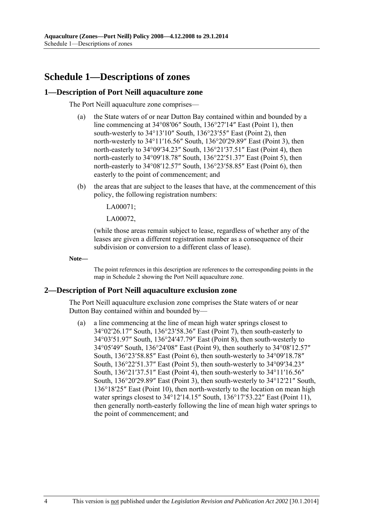# <span id="page-3-0"></span>**Schedule 1—Descriptions of zones**

#### **1—Description of Port Neill aquaculture zone**

The Port Neill aquaculture zone comprises—

- (a) the State waters of or near Dutton Bay contained within and bounded by a line commencing at 34°08′06″ South, 136°27′14″ East (Point 1), then south-westerly to 34°13'10" South, 136°23'55" East (Point 2), then north-westerly to 34°11′16.56″ South, 136°20′29.89″ East (Point 3), then north-easterly to 34°09′34.23″ South, 136°21′37.51″ East (Point 4), then north-easterly to 34°09′18.78″ South, 136°22′51.37″ East (Point 5), then north-easterly to 34°08′12.57″ South, 136°23′58.85″ East (Point 6), then easterly to the point of commencement; and
- (b) the areas that are subject to the leases that have, at the commencement of this policy, the following registration numbers:

LA00071;

LA00072,

(while those areas remain subject to lease, regardless of whether any of the leases are given a different registration number as a consequence of their subdivision or conversion to a different class of lease).

**Note—** 

The point references in this description are references to the corresponding points in the map in [Schedule 2](#page-5-0) showing the Port Neill aquaculture zone.

#### **2—Description of Port Neill aquaculture exclusion zone**

The Port Neill aquaculture exclusion zone comprises the State waters of or near Dutton Bay contained within and bounded by—

 (a) a line commencing at the line of mean high water springs closest to 34°02′26.17″ South, 136°23′58.36″ East (Point 7), then south-easterly to 34°03′51.97″ South, 136°24′47.79″ East (Point 8), then south-westerly to 34°05′49″ South, 136°24′08″ East (Point 9), then southerly to 34°08′12.57″ South, 136°23′58.85″ East (Point 6), then south-westerly to 34°09′18.78″ South, 136°22′51.37″ East (Point 5), then south-westerly to 34°09′34.23″ South, 136°21′37.51″ East (Point 4), then south-westerly to 34°11′16.56″ South, 136°20′29.89″ East (Point 3), then south-westerly to 34°12′21″ South, 136°18′25″ East (Point 10), then north-westerly to the location on mean high water springs closest to 34°12'14.15" South, 136°17'53.22" East (Point 11), then generally north-easterly following the line of mean high water springs to the point of commencement; and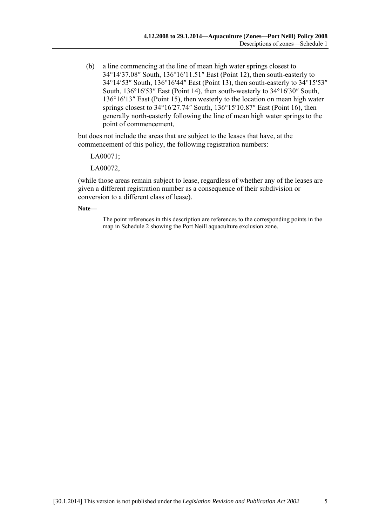(b) a line commencing at the line of mean high water springs closest to 34°14′37.08″ South, 136°16′11.51″ East (Point 12), then south-easterly to 34°14′53″ South, 136°16′44″ East (Point 13), then south-easterly to 34°15′53″ South, 136°16′53″ East (Point 14), then south-westerly to 34°16′30″ South, 136°16′13″ East (Point 15), then westerly to the location on mean high water springs closest to 34°16′27.74″ South, 136°15′10.87″ East (Point 16), then generally north-easterly following the line of mean high water springs to the point of commencement,

but does not include the areas that are subject to the leases that have, at the commencement of this policy, the following registration numbers:

LA00071;

LA00072,

(while those areas remain subject to lease, regardless of whether any of the leases are given a different registration number as a consequence of their subdivision or conversion to a different class of lease).

**Note—** 

The point references in this description are references to the corresponding points in the map in [Schedule 2](#page-5-0) showing the Port Neill aquaculture exclusion zone.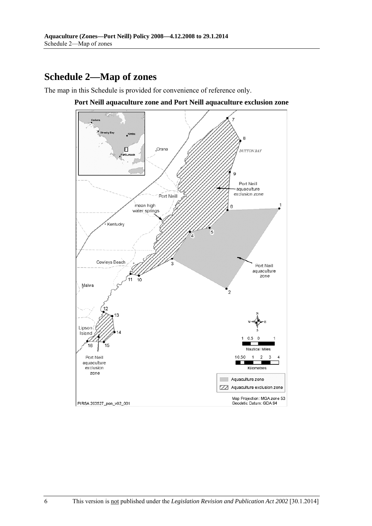# <span id="page-5-0"></span>**Schedule 2—Map of zones**

The map in this Schedule is provided for convenience of reference only.